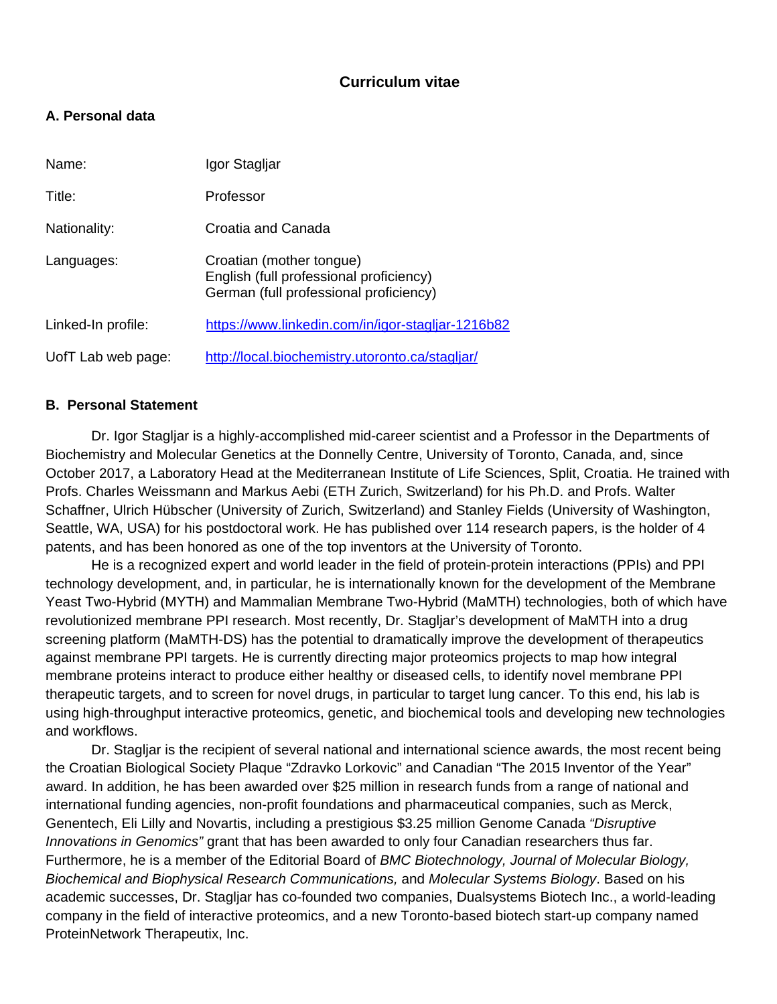# **Curriculum vitae**

# **A. Personal data**

| Name:              | Igor Stagljar                                                                                                 |
|--------------------|---------------------------------------------------------------------------------------------------------------|
| Title:             | Professor                                                                                                     |
| Nationality:       | Croatia and Canada                                                                                            |
| Languages:         | Croatian (mother tongue)<br>English (full professional proficiency)<br>German (full professional proficiency) |
| Linked-In profile: | https://www.linkedin.com/in/igor-stagljar-1216b82                                                             |
| UofT Lab web page: | http://local.biochemistry.utoronto.ca/stagljar/                                                               |

### **B. Personal Statement**

Dr. Igor Stagljar is a highly-accomplished mid-career scientist and a Professor in the Departments of Biochemistry and Molecular Genetics at the Donnelly Centre, University of Toronto, Canada, and, since October 2017, a Laboratory Head at the Mediterranean Institute of Life Sciences, Split, Croatia. He trained with Profs. Charles Weissmann and Markus Aebi (ETH Zurich, Switzerland) for his Ph.D. and Profs. Walter Schaffner, Ulrich Hübscher (University of Zurich, Switzerland) and Stanley Fields (University of Washington, Seattle, WA, USA) for his postdoctoral work. He has published over 114 research papers, is the holder of 4 patents, and has been honored as one of the top inventors at the University of Toronto.

He is a recognized expert and world leader in the field of protein-protein interactions (PPIs) and PPI technology development, and, in particular, he is internationally known for the development of the Membrane Yeast Two-Hybrid (MYTH) and Mammalian Membrane Two-Hybrid (MaMTH) technologies, both of which have revolutionized membrane PPI research. Most recently, Dr. Stagljar's development of MaMTH into a drug screening platform (MaMTH-DS) has the potential to dramatically improve the development of therapeutics against membrane PPI targets. He is currently directing major proteomics projects to map how integral membrane proteins interact to produce either healthy or diseased cells, to identify novel membrane PPI therapeutic targets, and to screen for novel drugs, in particular to target lung cancer. To this end, his lab is using high-throughput interactive proteomics, genetic, and biochemical tools and developing new technologies and workflows.

Dr. Stagljar is the recipient of several national and international science awards, the most recent being the Croatian Biological Society Plaque "Zdravko Lorkovic" and Canadian "The 2015 Inventor of the Year" award. In addition, he has been awarded over \$25 million in research funds from a range of national and international funding agencies, non-profit foundations and pharmaceutical companies, such as Merck, Genentech, Eli Lilly and Novartis, including a prestigious \$3.25 million Genome Canada *"Disruptive Innovations in Genomics"* grant that has been awarded to only four Canadian researchers thus far. Furthermore, he is a member of the Editorial Board of *BMC Biotechnology, Journal of Molecular Biology, Biochemical and Biophysical Research Communications,* and *Molecular Systems Biology*. Based on his academic successes, Dr. Stagljar has co-founded two companies, Dualsystems Biotech Inc., a world-leading company in the field of interactive proteomics, and a new Toronto-based biotech start-up company named ProteinNetwork Therapeutix, Inc.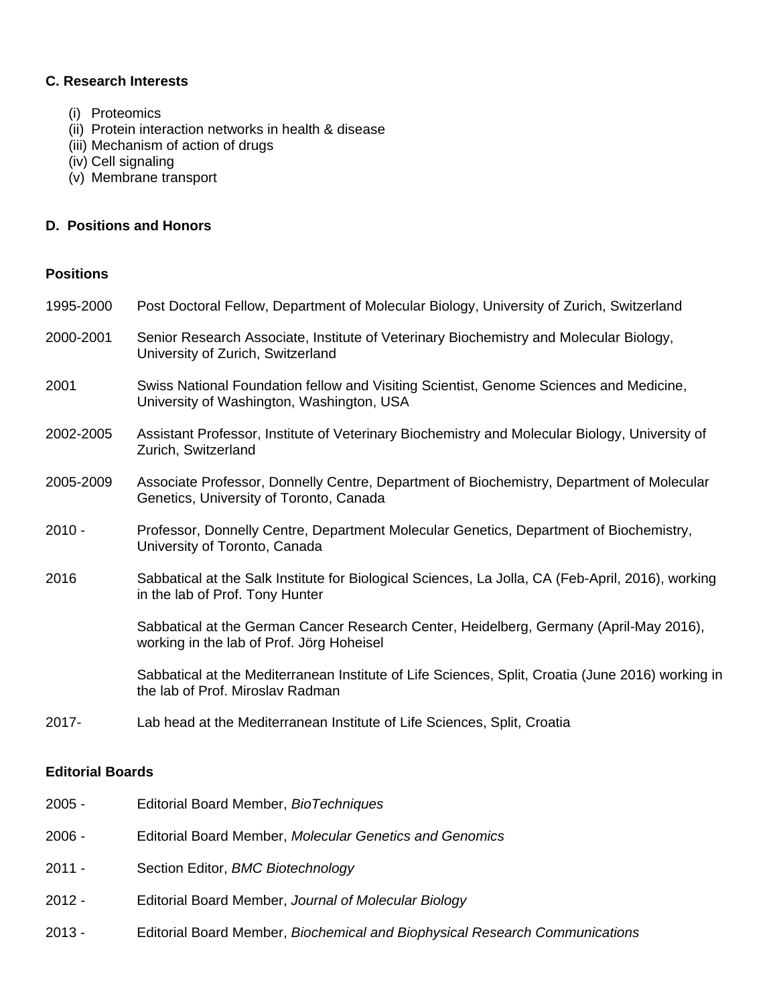### **C. Research Interests**

- (i) Proteomics
- (ii) Protein interaction networks in health & disease
- (iii) Mechanism of action of drugs
- (iv) Cell signaling
- (v) Membrane transport

#### **D. Positions and Honors**

## **Positions**

| 1995-2000 | Post Doctoral Fellow, Department of Molecular Biology, University of Zurich, Switzerland                                              |
|-----------|---------------------------------------------------------------------------------------------------------------------------------------|
| 2000-2001 | Senior Research Associate, Institute of Veterinary Biochemistry and Molecular Biology,<br>University of Zurich, Switzerland           |
| 2001      | Swiss National Foundation fellow and Visiting Scientist, Genome Sciences and Medicine,<br>University of Washington, Washington, USA   |
| 2002-2005 | Assistant Professor, Institute of Veterinary Biochemistry and Molecular Biology, University of<br>Zurich, Switzerland                 |
| 2005-2009 | Associate Professor, Donnelly Centre, Department of Biochemistry, Department of Molecular<br>Genetics, University of Toronto, Canada  |
| $2010 -$  | Professor, Donnelly Centre, Department Molecular Genetics, Department of Biochemistry,<br>University of Toronto, Canada               |
| 2016      | Sabbatical at the Salk Institute for Biological Sciences, La Jolla, CA (Feb-April, 2016), working<br>in the lab of Prof. Tony Hunter  |
|           | Sabbatical at the German Cancer Research Center, Heidelberg, Germany (April-May 2016),<br>working in the lab of Prof. Jörg Hoheisel   |
|           | Sabbatical at the Mediterranean Institute of Life Sciences, Split, Croatia (June 2016) working in<br>the lab of Prof. Miroslav Radman |
| 2017-     | Lab head at the Mediterranean Institute of Life Sciences, Split, Croatia                                                              |

## **Editorial Boards**

- 2005 Editorial Board Member, *BioTechniques*
- 2006 Editorial Board Member, *Molecular Genetics and Genomics*
- 2011 Section Editor, *BMC Biotechnology*
- 2012 Editorial Board Member, *Journal of Molecular Biology*
- 2013 Editorial Board Member, *Biochemical and Biophysical Research Communications*